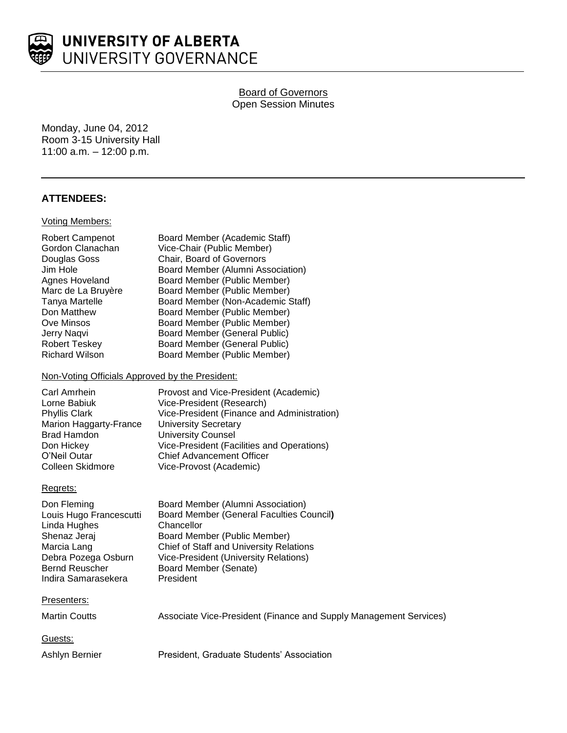

# **Board of Governors** Open Session Minutes

Monday, June 04, 2012 Room 3-15 University Hall 11:00 a.m. – 12:00 p.m.

## **ATTENDEES:**

#### Voting Members:

| Robert Campenot    | Board Member (Academic Staff)     |
|--------------------|-----------------------------------|
| Gordon Clanachan   | Vice-Chair (Public Member)        |
| Douglas Goss       | Chair, Board of Governors         |
| Jim Hole           | Board Member (Alumni Association) |
| Agnes Hoveland     | Board Member (Public Member)      |
| Marc de La Bruyère | Board Member (Public Member)      |
| Tanya Martelle     | Board Member (Non-Academic Staff) |
| Don Matthew        | Board Member (Public Member)      |
| Ove Minsos         | Board Member (Public Member)      |
| Jerry Naqvi        | Board Member (General Public)     |
| Robert Teskey      | Board Member (General Public)     |
| Richard Wilson     | Board Member (Public Member)      |

#### Non-Voting Officials Approved by the President:

| Carl Amrhein           | Provost and Vice-President (Academic)       |
|------------------------|---------------------------------------------|
| Lorne Babiuk           | Vice-President (Research)                   |
| <b>Phyllis Clark</b>   | Vice-President (Finance and Administration) |
| Marion Haggarty-France | <b>University Secretary</b>                 |
| <b>Brad Hamdon</b>     | <b>University Counsel</b>                   |
| Don Hickey             | Vice-President (Facilities and Operations)  |
| O'Neil Outar           | <b>Chief Advancement Officer</b>            |
| Colleen Skidmore       | Vice-Provost (Academic)                     |
|                        |                                             |

#### Regrets:

| Don Fleming             | Board Member (Alumni Association)               |
|-------------------------|-------------------------------------------------|
| Louis Hugo Francescutti | <b>Board Member (General Faculties Council)</b> |
| Linda Hughes            | Chancellor                                      |
| Shenaz Jeraj            | Board Member (Public Member)                    |
| Marcia Lang             | <b>Chief of Staff and University Relations</b>  |
| Debra Pozega Osburn     | <b>Vice-President (University Relations)</b>    |
| <b>Bernd Reuscher</b>   | Board Member (Senate)                           |
| Indira Samarasekera     | President                                       |
|                         |                                                 |

#### Presenters:

| Martin Coutts | Associate Vice-President (Finance and Supply Management Services) |
|---------------|-------------------------------------------------------------------|
| Guests:       |                                                                   |

Ashlyn Bernier **President, Graduate Students' Association**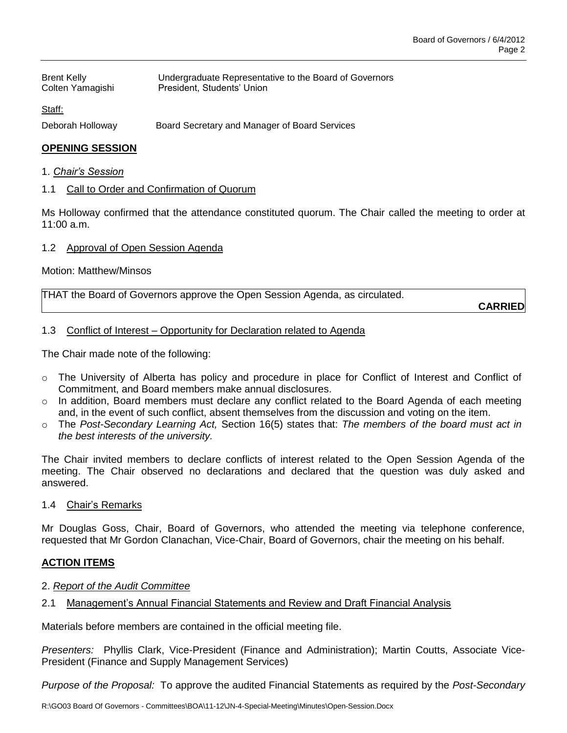| <b>Brent Kelly</b><br>Colten Yamagishi | Undergraduate Representative to the Board of Governors<br>President, Students' Union |
|----------------------------------------|--------------------------------------------------------------------------------------|
| Staff:                                 |                                                                                      |
| Deborah Holloway                       | Board Secretary and Manager of Board Services                                        |

# **OPENING SESSION**

#### 1. *Chair's Session*

## 1.1 Call to Order and Confirmation of Quorum

Ms Holloway confirmed that the attendance constituted quorum. The Chair called the meeting to order at 11:00 a.m.

## 1.2 Approval of Open Session Agenda

### Motion: Matthew/Minsos

| THAT the Board of Governors approve the Open Session Agenda, as circulated. |         |
|-----------------------------------------------------------------------------|---------|
|                                                                             | ------- |

**CARRIED**

### 1.3 Conflict of Interest – Opportunity for Declaration related to Agenda

The Chair made note of the following:

- $\circ$  The University of Alberta has policy and procedure in place for Conflict of Interest and Conflict of Commitment, and Board members make annual disclosures.
- $\circ$  In addition, Board members must declare any conflict related to the Board Agenda of each meeting and, in the event of such conflict, absent themselves from the discussion and voting on the item.
- o The *Post-Secondary Learning Act,* Section 16(5) states that: *The members of the board must act in the best interests of the university.*

The Chair invited members to declare conflicts of interest related to the Open Session Agenda of the meeting. The Chair observed no declarations and declared that the question was duly asked and answered.

1.4 Chair's Remarks

Mr Douglas Goss, Chair, Board of Governors, who attended the meeting via telephone conference, requested that Mr Gordon Clanachan, Vice-Chair, Board of Governors, chair the meeting on his behalf.

### **ACTION ITEMS**

### 2. *Report of the Audit Committee*

2.1 Management's Annual Financial Statements and Review and Draft Financial Analysis

Materials before members are contained in the official meeting file.

*Presenters:* Phyllis Clark, Vice-President (Finance and Administration); Martin Coutts, Associate Vice-President (Finance and Supply Management Services)

*Purpose of the Proposal:* To approve the audited Financial Statements as required by the *Post-Secondary*